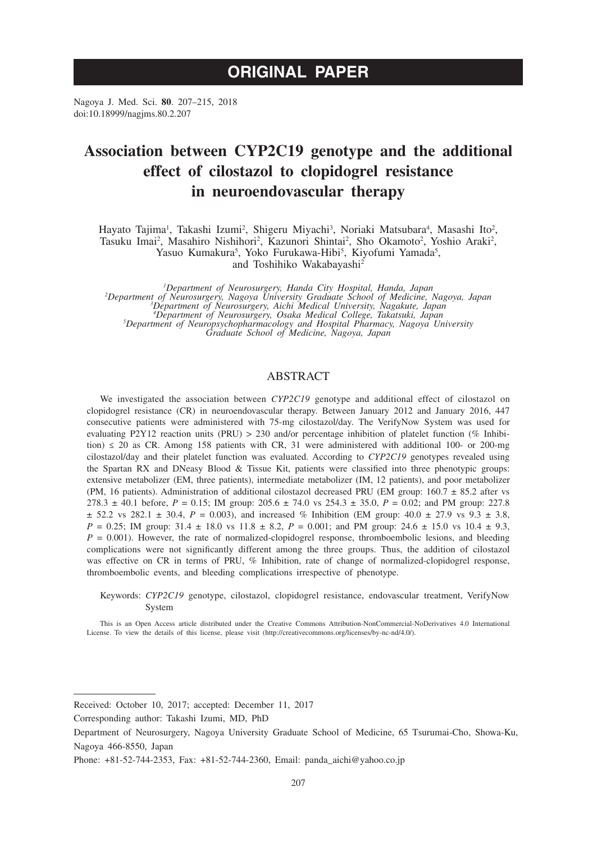Nagoya J. Med. Sci. **80**. 207–215, 2018 doi:10.18999/nagjms.80.2.207

# **Association between CYP2C19 genotype and the additional effect of cilostazol to clopidogrel resistance in neuroendovascular therapy**

Hayato Tajima<sup>1</sup>, Takashi Izumi<sup>2</sup>, Shigeru Miyachi<sup>3</sup>, Noriaki Matsubara<sup>4</sup>, Masashi Ito<sup>2</sup>, Tasuku Imai<sup>2</sup>, Masahiro Nishihori<sup>2</sup>, Kazunori Shintai<sup>2</sup>, Sho Okamoto<sup>2</sup>, Yoshio Araki<sup>2</sup>, Yasuo Kumakura<sup>5</sup>, Yoko Furukawa-Hibi<sup>5</sup>, Kiyofumi Yamada<sup>5</sup>, and Toshihiko Wakabayashi<sup>2</sup>

<sup>1</sup>Department of Neurosurgery, Handa City Hospital, Handa, Japan<br>
<sup>2</sup>Department of Neurosurgery, Nagoya University Graduate School of Medicine, Nagoya, Japan<sup>3</sup><br>
<sup>3</sup>Department of Neurosurgery, Aichi Medical University, Nag *Graduate School of Medicine, Nagoya, Japan*

## ABSTRACT

We investigated the association between *CYP2C19* genotype and additional effect of cilostazol on clopidogrel resistance (CR) in neuroendovascular therapy. Between January 2012 and January 2016, 447 consecutive patients were administered with 75-mg cilostazol/day. The VerifyNow System was used for evaluating P2Y12 reaction units (PRU) > 230 and/or percentage inhibition of platelet function (% Inhibition)  $\leq$  20 as CR. Among 158 patients with CR, 31 were administered with additional 100- or 200-mg cilostazol/day and their platelet function was evaluated. According to *CYP2C19* genotypes revealed using the Spartan RX and DNeasy Blood & Tissue Kit, patients were classified into three phenotypic groups: extensive metabolizer (EM, three patients), intermediate metabolizer (IM, 12 patients), and poor metabolizer (PM, 16 patients). Administration of additional cilostazol decreased PRU (EM group:  $160.7 \pm 85.2$  after vs 278.3  $\pm$  40.1 before, *P* = 0.15; IM group: 205.6  $\pm$  74.0 vs 254.3  $\pm$  35.0, *P* = 0.02; and PM group: 227.8  $\pm$  52.2 vs 282.1  $\pm$  30.4, *P* = 0.003), and increased % Inhibition (EM group: 40.0  $\pm$  27.9 vs 9.3  $\pm$  3.8, *P* = 0.25; IM group: 31.4 ± 18.0 vs 11.8 ± 8.2, *P* = 0.001; and PM group: 24.6 ± 15.0 vs 10.4 ± 9.3,  $P = 0.001$ ). However, the rate of normalized-clopidogrel response, thromboembolic lesions, and bleeding complications were not significantly different among the three groups. Thus, the addition of cilostazol was effective on CR in terms of PRU, % Inhibition, rate of change of normalized-clopidogrel response, thromboembolic events, and bleeding complications irrespective of phenotype.

Keywords: *CYP2C19* genotype, cilostazol, clopidogrel resistance, endovascular treatment, VerifyNow System

This is an Open Access article distributed under the Creative Commons Attribution-NonCommercial-NoDerivatives 4.0 International License. To view the details of this license, please visit (http://creativecommons.org/licenses/by-nc-nd/4.0/).

Received: October 10, 2017; accepted: December 11, 2017

Corresponding author: Takashi Izumi, MD, PhD

Department of Neurosurgery, Nagoya University Graduate School of Medicine, 65 Tsurumai-Cho, Showa-Ku, Nagoya 466-8550, Japan

Phone: +81-52-744-2353, Fax: +81-52-744-2360, Email: panda\_aichi@yahoo.co.jp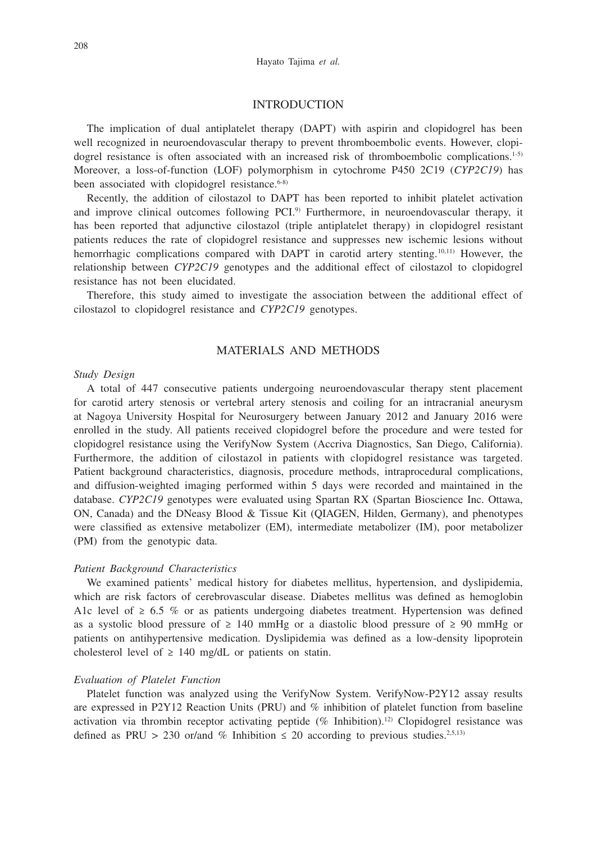## INTRODUCTION

The implication of dual antiplatelet therapy (DAPT) with aspirin and clopidogrel has been well recognized in neuroendovascular therapy to prevent thromboembolic events. However, clopidogrel resistance is often associated with an increased risk of thromboembolic complications.<sup>1-5)</sup> Moreover, a loss-of-function (LOF) polymorphism in cytochrome P450 2C19 (*CYP2C19*) has been associated with clopidogrel resistance.<sup>6-8)</sup>

Recently, the addition of cilostazol to DAPT has been reported to inhibit platelet activation and improve clinical outcomes following PCI.<sup>9)</sup> Furthermore, in neuroendovascular therapy, it has been reported that adjunctive cilostazol (triple antiplatelet therapy) in clopidogrel resistant patients reduces the rate of clopidogrel resistance and suppresses new ischemic lesions without hemorrhagic complications compared with DAPT in carotid artery stenting.<sup>10,11)</sup> However, the relationship between *CYP2C19* genotypes and the additional effect of cilostazol to clopidogrel resistance has not been elucidated.

Therefore, this study aimed to investigate the association between the additional effect of cilostazol to clopidogrel resistance and *CYP2C19* genotypes.

## MATERIALS AND METHODS

#### *Study Design*

A total of 447 consecutive patients undergoing neuroendovascular therapy stent placement for carotid artery stenosis or vertebral artery stenosis and coiling for an intracranial aneurysm at Nagoya University Hospital for Neurosurgery between January 2012 and January 2016 were enrolled in the study. All patients received clopidogrel before the procedure and were tested for clopidogrel resistance using the VerifyNow System (Accriva Diagnostics, San Diego, California). Furthermore, the addition of cilostazol in patients with clopidogrel resistance was targeted. Patient background characteristics, diagnosis, procedure methods, intraprocedural complications, and diffusion-weighted imaging performed within 5 days were recorded and maintained in the database. *CYP2C19* genotypes were evaluated using Spartan RX (Spartan Bioscience Inc. Ottawa, ON, Canada) and the DNeasy Blood & Tissue Kit (QIAGEN, Hilden, Germany), and phenotypes were classified as extensive metabolizer (EM), intermediate metabolizer (IM), poor metabolizer (PM) from the genotypic data.

#### *Patient Background Characteristics*

We examined patients' medical history for diabetes mellitus, hypertension, and dyslipidemia, which are risk factors of cerebrovascular disease. Diabetes mellitus was defined as hemoglobin A1c level of  $\geq 6.5$  % or as patients undergoing diabetes treatment. Hypertension was defined as a systolic blood pressure of  $\geq 140$  mmHg or a diastolic blood pressure of  $\geq 90$  mmHg or patients on antihypertensive medication. Dyslipidemia was defined as a low-density lipoprotein cholesterol level of  $\geq$  140 mg/dL or patients on statin.

#### *Evaluation of Platelet Function*

Platelet function was analyzed using the VerifyNow System. VerifyNow-P2Y12 assay results are expressed in P2Y12 Reaction Units (PRU) and % inhibition of platelet function from baseline activation via thrombin receptor activating peptide (% Inhibition).12) Clopidogrel resistance was defined as PRU > 230 or/and % Inhibition  $\leq$  20 according to previous studies.<sup>2,5,13)</sup>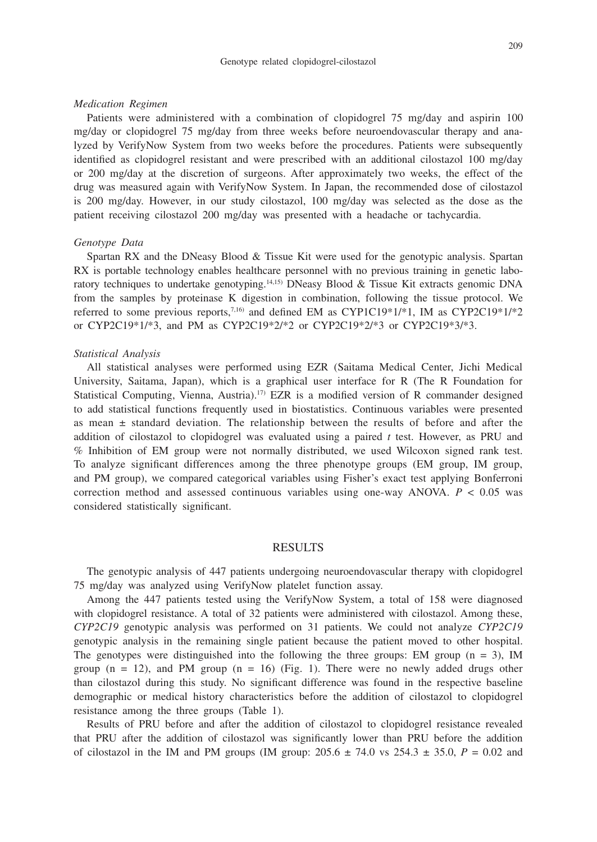#### Genotype related clopidogrel-cilostazol

#### *Medication Regimen*

Patients were administered with a combination of clopidogrel 75 mg/day and aspirin 100 mg/day or clopidogrel 75 mg/day from three weeks before neuroendovascular therapy and analyzed by VerifyNow System from two weeks before the procedures. Patients were subsequently identified as clopidogrel resistant and were prescribed with an additional cilostazol 100 mg/day or 200 mg/day at the discretion of surgeons. After approximately two weeks, the effect of the drug was measured again with VerifyNow System. In Japan, the recommended dose of cilostazol is 200 mg/day. However, in our study cilostazol, 100 mg/day was selected as the dose as the patient receiving cilostazol 200 mg/day was presented with a headache or tachycardia.

#### *Genotype Data*

Spartan RX and the DNeasy Blood & Tissue Kit were used for the genotypic analysis. Spartan RX is portable technology enables healthcare personnel with no previous training in genetic laboratory techniques to undertake genotyping.<sup>14,15)</sup> DNeasy Blood & Tissue Kit extracts genomic DNA from the samples by proteinase K digestion in combination, following the tissue protocol. We referred to some previous reports,<sup>7,16)</sup> and defined EM as CYP1C19\*1/\*1, IM as CYP2C19\*1/\*2 or CYP2C19\*1/\*3, and PM as CYP2C19\*2/\*2 or CYP2C19\*2/\*3 or CYP2C19\*3/\*3.

#### *Statistical Analysis*

All statistical analyses were performed using EZR (Saitama Medical Center, Jichi Medical University, Saitama, Japan), which is a graphical user interface for R (The R Foundation for Statistical Computing, Vienna, Austria).<sup>17</sup> EZR is a modified version of R commander designed to add statistical functions frequently used in biostatistics. Continuous variables were presented as mean  $\pm$  standard deviation. The relationship between the results of before and after the addition of cilostazol to clopidogrel was evaluated using a paired *t* test. However, as PRU and % Inhibition of EM group were not normally distributed, we used Wilcoxon signed rank test. To analyze significant differences among the three phenotype groups (EM group, IM group, and PM group), we compared categorical variables using Fisher's exact test applying Bonferroni correction method and assessed continuous variables using one-way ANOVA.  $P < 0.05$  was considered statistically significant.

## RESULTS

The genotypic analysis of 447 patients undergoing neuroendovascular therapy with clopidogrel 75 mg/day was analyzed using VerifyNow platelet function assay.

Among the 447 patients tested using the VerifyNow System, a total of 158 were diagnosed with clopidogrel resistance. A total of 32 patients were administered with cilostazol. Among these, *CYP2C19* genotypic analysis was performed on 31 patients. We could not analyze *CYP2C19* genotypic analysis in the remaining single patient because the patient moved to other hospital. The genotypes were distinguished into the following the three groups: EM group  $(n = 3)$ , IM group  $(n = 12)$ , and PM group  $(n = 16)$  (Fig. 1). There were no newly added drugs other than cilostazol during this study. No significant difference was found in the respective baseline demographic or medical history characteristics before the addition of cilostazol to clopidogrel resistance among the three groups (Table 1).

Results of PRU before and after the addition of cilostazol to clopidogrel resistance revealed that PRU after the addition of cilostazol was significantly lower than PRU before the addition of cilostazol in the IM and PM groups (IM group:  $205.6 \pm 74.0$  vs  $254.3 \pm 35.0$ ,  $P = 0.02$  and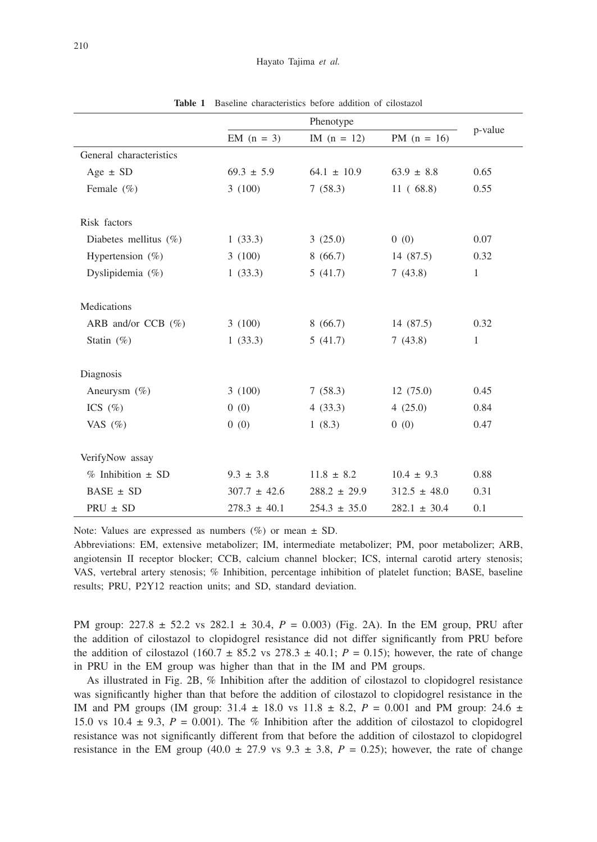|                          |                  | Phenotype        |                  |              |
|--------------------------|------------------|------------------|------------------|--------------|
|                          | EM $(n = 3)$     | IM $(n = 12)$    | PM $(n = 16)$    | p-value      |
| General characteristics  |                  |                  |                  |              |
| Age $\pm$ SD             | $69.3 \pm 5.9$   | $64.1 \pm 10.9$  | $63.9 \pm 8.8$   | 0.65         |
| Female (%)               | 3(100)           | 7(58.3)          | 11(68.8)         | 0.55         |
|                          |                  |                  |                  |              |
| Risk factors             |                  |                  |                  |              |
| Diabetes mellitus $(\%)$ | 1(33.3)          | 3(25.0)          | 0(0)             | 0.07         |
| Hypertension $(\%)$      | 3(100)           | 8(66.7)          | 14 (87.5)        | 0.32         |
| Dyslipidemia $(\%)$      | 1(33.3)          | 5(41.7)          | 7(43.8)          | 1            |
|                          |                  |                  |                  |              |
| Medications              |                  |                  |                  |              |
| ARB and/or CCB $(\%)$    | 3(100)           | 8(66.7)          | 14 (87.5)        | 0.32         |
| Statin $(\%)$            | 1(33.3)          | 5(41.7)          | 7(43.8)          | $\mathbf{1}$ |
|                          |                  |                  |                  |              |
| Diagnosis                |                  |                  |                  |              |
| Aneurysm $(\% )$         | 3(100)           | 7(58.3)          | 12(75.0)         | 0.45         |
| ICS $(\% )$              | 0(0)             | 4(33.3)          | 4(25.0)          | 0.84         |
| VAS $(\% )$              | 0(0)             | 1(8.3)           | (0)              | 0.47         |
|                          |                  |                  |                  |              |
| VerifyNow assay          |                  |                  |                  |              |
| $%$ Inhibition $\pm$ SD  | $9.3 \pm 3.8$    | $11.8 \pm 8.2$   | $10.4 \pm 9.3$   | 0.88         |
| $BASE \pm SD$            | $307.7 \pm 42.6$ | $288.2 \pm 29.9$ | $312.5 \pm 48.0$ | 0.31         |
| $PRU \pm SD$             | $278.3 \pm 40.1$ | $254.3 \pm 35.0$ | $282.1 \pm 30.4$ | 0.1          |

**Table 1** Baseline characteristics before addition of cilostazol

Note: Values are expressed as numbers  $(\%)$  or mean  $\pm$  SD.

Abbreviations: EM, extensive metabolizer; IM, intermediate metabolizer; PM, poor metabolizer; ARB, angiotensin II receptor blocker; CCB, calcium channel blocker; ICS, internal carotid artery stenosis; VAS, vertebral artery stenosis; % Inhibition, percentage inhibition of platelet function; BASE, baseline results; PRU, P2Y12 reaction units; and SD, standard deviation.

PM group: 227.8 ± 52.2 vs 282.1 ± 30.4, *P* = 0.003) (Fig. 2A). In the EM group, PRU after the addition of cilostazol to clopidogrel resistance did not differ significantly from PRU before the addition of cilostazol (160.7  $\pm$  85.2 vs 278.3  $\pm$  40.1; *P* = 0.15); however, the rate of change in PRU in the EM group was higher than that in the IM and PM groups.

As illustrated in Fig. 2B, % Inhibition after the addition of cilostazol to clopidogrel resistance was significantly higher than that before the addition of cilostazol to clopidogrel resistance in the IM and PM groups (IM group:  $31.4 \pm 18.0$  vs  $11.8 \pm 8.2$ ,  $P = 0.001$  and PM group:  $24.6 \pm 18.0$ 15.0 vs 10.4  $\pm$  9.3,  $P = 0.001$ ). The % Inhibition after the addition of cilostazol to clopidogrel resistance was not significantly different from that before the addition of cilostazol to clopidogrel resistance in the EM group  $(40.0 \pm 27.9 \text{ vs } 9.3 \pm 3.8, P = 0.25)$ ; however, the rate of change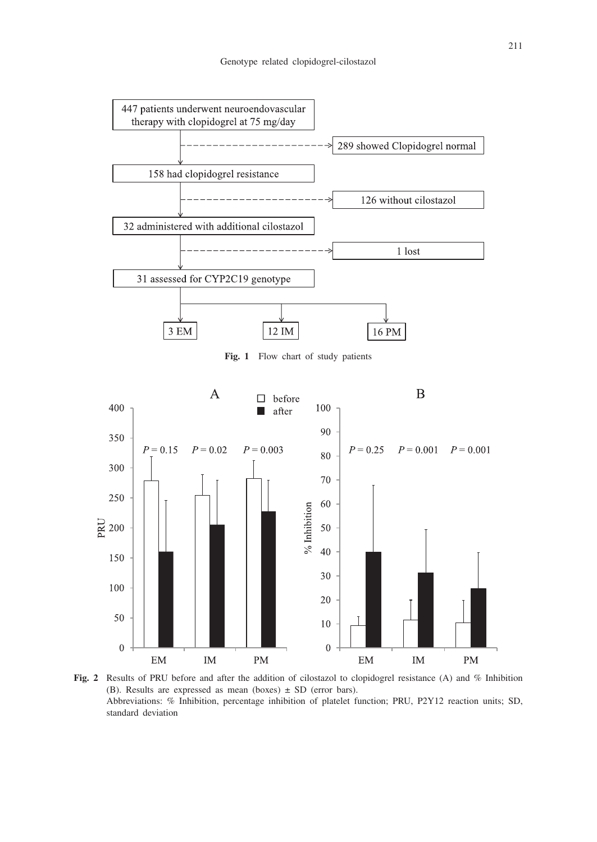

**Fig. 1** Flow chart of study patients



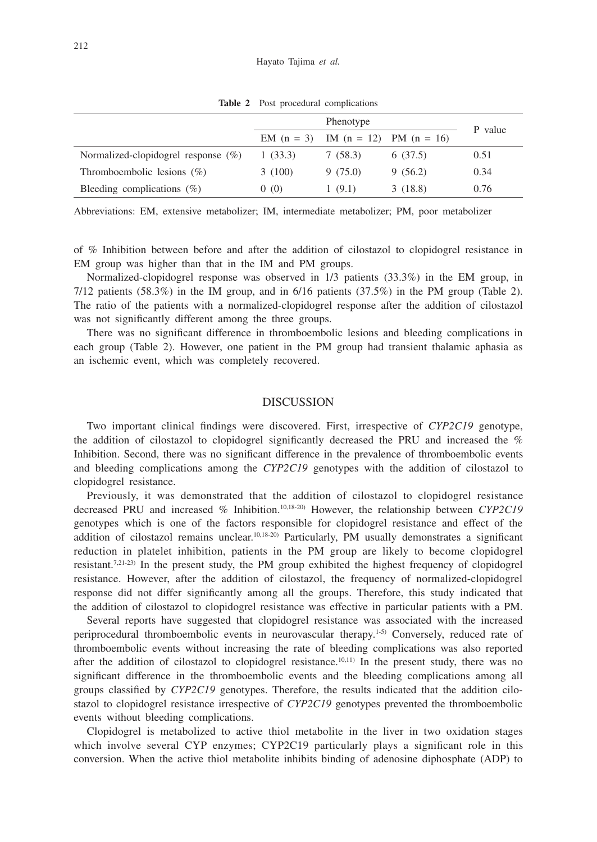|                                        | Phenotype |                                          |         |         |
|----------------------------------------|-----------|------------------------------------------|---------|---------|
|                                        |           | EM $(n = 3)$ IM $(n = 12)$ PM $(n = 16)$ |         | P value |
| Normalized-clopidogrel response $(\%)$ | 1(33.3)   | 7 (58.3)                                 | 6(37.5) | 0.51    |
| Thromboembolic lesions $(\%)$          | 3(100)    | 9(75.0)                                  | 9(56.2) | 0.34    |
| Bleeding complications $(\%)$          | 0(0)      | 1(9.1)                                   | 3(18.8) | 0.76    |

**Table 2** Post procedural complications

Abbreviations: EM, extensive metabolizer; IM, intermediate metabolizer; PM, poor metabolizer

of % Inhibition between before and after the addition of cilostazol to clopidogrel resistance in EM group was higher than that in the IM and PM groups.

Normalized-clopidogrel response was observed in 1/3 patients (33.3%) in the EM group, in  $7/12$  patients (58.3%) in the IM group, and in  $6/16$  patients (37.5%) in the PM group (Table 2). The ratio of the patients with a normalized-clopidogrel response after the addition of cilostazol was not significantly different among the three groups.

There was no significant difference in thromboembolic lesions and bleeding complications in each group (Table 2). However, one patient in the PM group had transient thalamic aphasia as an ischemic event, which was completely recovered.

### **DISCUSSION**

Two important clinical findings were discovered. First, irrespective of *CYP2C19* genotype, the addition of cilostazol to clopidogrel significantly decreased the PRU and increased the % Inhibition. Second, there was no significant difference in the prevalence of thromboembolic events and bleeding complications among the *CYP2C19* genotypes with the addition of cilostazol to clopidogrel resistance.

Previously, it was demonstrated that the addition of cilostazol to clopidogrel resistance decreased PRU and increased % Inhibition.10,18-20) However, the relationship between *CYP2C19* genotypes which is one of the factors responsible for clopidogrel resistance and effect of the addition of cilostazol remains unclear.10,18-20) Particularly, PM usually demonstrates a significant reduction in platelet inhibition, patients in the PM group are likely to become clopidogrel resistant.7,21-23) In the present study, the PM group exhibited the highest frequency of clopidogrel resistance. However, after the addition of cilostazol, the frequency of normalized-clopidogrel response did not differ significantly among all the groups. Therefore, this study indicated that the addition of cilostazol to clopidogrel resistance was effective in particular patients with a PM.

Several reports have suggested that clopidogrel resistance was associated with the increased periprocedural thromboembolic events in neurovascular therapy.1-5) Conversely, reduced rate of thromboembolic events without increasing the rate of bleeding complications was also reported after the addition of cilostazol to clopidogrel resistance.<sup>10,11)</sup> In the present study, there was no significant difference in the thromboembolic events and the bleeding complications among all groups classified by *CYP2C19* genotypes. Therefore, the results indicated that the addition cilostazol to clopidogrel resistance irrespective of *CYP2C19* genotypes prevented the thromboembolic events without bleeding complications.

Clopidogrel is metabolized to active thiol metabolite in the liver in two oxidation stages which involve several CYP enzymes; CYP2C19 particularly plays a significant role in this conversion. When the active thiol metabolite inhibits binding of adenosine diphosphate (ADP) to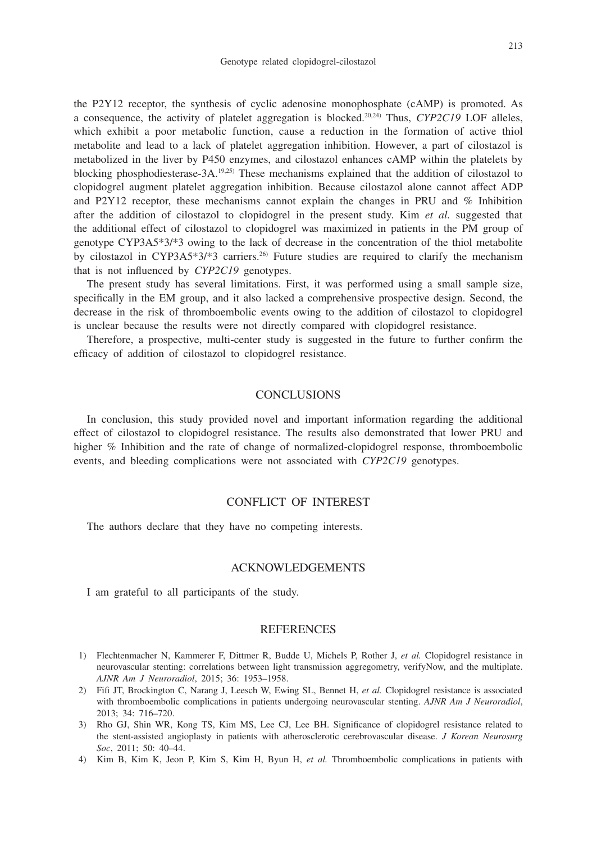the P2Y12 receptor, the synthesis of cyclic adenosine monophosphate (cAMP) is promoted. As a consequence, the activity of platelet aggregation is blocked.20,24) Thus, *CYP2C19* LOF alleles, which exhibit a poor metabolic function, cause a reduction in the formation of active thiol metabolite and lead to a lack of platelet aggregation inhibition. However, a part of cilostazol is metabolized in the liver by P450 enzymes, and cilostazol enhances cAMP within the platelets by blocking phosphodiesterase-3A.<sup>19,25)</sup> These mechanisms explained that the addition of cilostazol to clopidogrel augment platelet aggregation inhibition. Because cilostazol alone cannot affect ADP and P2Y12 receptor, these mechanisms cannot explain the changes in PRU and % Inhibition after the addition of cilostazol to clopidogrel in the present study. Kim *et al.* suggested that the additional effect of cilostazol to clopidogrel was maximized in patients in the PM group of genotype CYP3A5\*3/\*3 owing to the lack of decrease in the concentration of the thiol metabolite by cilostazol in CYP3A5\*3/\*3 carriers.<sup>26)</sup> Future studies are required to clarify the mechanism that is not influenced by *CYP2C19* genotypes.

The present study has several limitations. First, it was performed using a small sample size, specifically in the EM group, and it also lacked a comprehensive prospective design. Second, the decrease in the risk of thromboembolic events owing to the addition of cilostazol to clopidogrel is unclear because the results were not directly compared with clopidogrel resistance.

Therefore, a prospective, multi-center study is suggested in the future to further confirm the efficacy of addition of cilostazol to clopidogrel resistance.

# **CONCLUSIONS**

In conclusion, this study provided novel and important information regarding the additional effect of cilostazol to clopidogrel resistance. The results also demonstrated that lower PRU and higher % Inhibition and the rate of change of normalized-clopidogrel response, thromboembolic events, and bleeding complications were not associated with *CYP2C19* genotypes.

# CONFLICT OF INTEREST

The authors declare that they have no competing interests.

## ACKNOWLEDGEMENTS

I am grateful to all participants of the study.

#### **REFERENCES**

- 1) Flechtenmacher N, Kammerer F, Dittmer R, Budde U, Michels P, Rother J, *et al.* Clopidogrel resistance in neurovascular stenting: correlations between light transmission aggregometry, verifyNow, and the multiplate. *AJNR Am J Neuroradiol*, 2015; 36: 1953–1958.
- 2) Fifi JT, Brockington C, Narang J, Leesch W, Ewing SL, Bennet H, *et al.* Clopidogrel resistance is associated with thromboembolic complications in patients undergoing neurovascular stenting. *AJNR Am J Neuroradiol*, 2013; 34: 716–720.
- 3) Rho GJ, Shin WR, Kong TS, Kim MS, Lee CJ, Lee BH. Significance of clopidogrel resistance related to the stent-assisted angioplasty in patients with atherosclerotic cerebrovascular disease. *J Korean Neurosurg Soc*, 2011; 50: 40–44.
- 4) Kim B, Kim K, Jeon P, Kim S, Kim H, Byun H, *et al.* Thromboembolic complications in patients with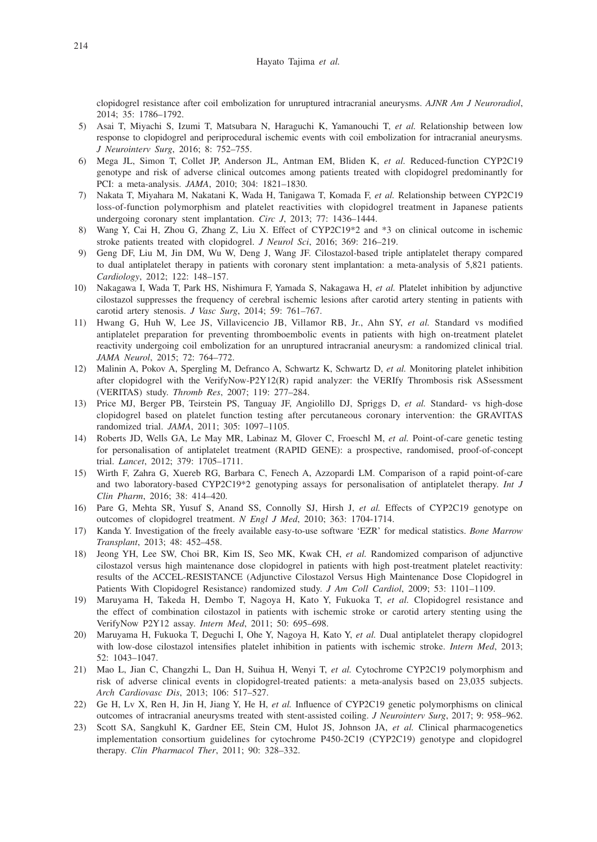clopidogrel resistance after coil embolization for unruptured intracranial aneurysms. *AJNR Am J Neuroradiol*, 2014; 35: 1786–1792.

- 5) Asai T, Miyachi S, Izumi T, Matsubara N, Haraguchi K, Yamanouchi T, *et al.* Relationship between low response to clopidogrel and periprocedural ischemic events with coil embolization for intracranial aneurysms. *J Neurointerv Surg*, 2016; 8: 752–755.
- 6) Mega JL, Simon T, Collet JP, Anderson JL, Antman EM, Bliden K, *et al.* Reduced-function CYP2C19 genotype and risk of adverse clinical outcomes among patients treated with clopidogrel predominantly for PCI: a meta-analysis. *JAMA*, 2010; 304: 1821–1830.
- 7) Nakata T, Miyahara M, Nakatani K, Wada H, Tanigawa T, Komada F, *et al.* Relationship between CYP2C19 loss-of-function polymorphism and platelet reactivities with clopidogrel treatment in Japanese patients undergoing coronary stent implantation. *Circ J*, 2013; 77: 1436–1444.
- 8) Wang Y, Cai H, Zhou G, Zhang Z, Liu X. Effect of CYP2C19\*2 and \*3 on clinical outcome in ischemic stroke patients treated with clopidogrel. *J Neurol Sci*, 2016; 369: 216–219.
- 9) Geng DF, Liu M, Jin DM, Wu W, Deng J, Wang JF. Cilostazol-based triple antiplatelet therapy compared to dual antiplatelet therapy in patients with coronary stent implantation: a meta-analysis of 5,821 patients. *Cardiology*, 2012; 122: 148–157.
- 10) Nakagawa I, Wada T, Park HS, Nishimura F, Yamada S, Nakagawa H, *et al.* Platelet inhibition by adjunctive cilostazol suppresses the frequency of cerebral ischemic lesions after carotid artery stenting in patients with carotid artery stenosis. *J Vasc Surg*, 2014; 59: 761–767.
- 11) Hwang G, Huh W, Lee JS, Villavicencio JB, Villamor RB, Jr., Ahn SY, *et al.* Standard vs modified antiplatelet preparation for preventing thromboembolic events in patients with high on-treatment platelet reactivity undergoing coil embolization for an unruptured intracranial aneurysm: a randomized clinical trial. *JAMA Neurol*, 2015; 72: 764–772.
- 12) Malinin A, Pokov A, Spergling M, Defranco A, Schwartz K, Schwartz D, *et al.* Monitoring platelet inhibition after clopidogrel with the VerifyNow-P2Y12(R) rapid analyzer: the VERIfy Thrombosis risk ASsessment (VERITAS) study. *Thromb Res*, 2007; 119: 277–284.
- 13) Price MJ, Berger PB, Teirstein PS, Tanguay JF, Angiolillo DJ, Spriggs D, *et al.* Standard- vs high-dose clopidogrel based on platelet function testing after percutaneous coronary intervention: the GRAVITAS randomized trial. *JAMA*, 2011; 305: 1097–1105.
- 14) Roberts JD, Wells GA, Le May MR, Labinaz M, Glover C, Froeschl M, *et al.* Point-of-care genetic testing for personalisation of antiplatelet treatment (RAPID GENE): a prospective, randomised, proof-of-concept trial. *Lancet*, 2012; 379: 1705–1711.
- 15) Wirth F, Zahra G, Xuereb RG, Barbara C, Fenech A, Azzopardi LM. Comparison of a rapid point-of-care and two laboratory-based CYP2C19\*2 genotyping assays for personalisation of antiplatelet therapy. *Int J Clin Pharm*, 2016; 38: 414–420.
- 16) Pare G, Mehta SR, Yusuf S, Anand SS, Connolly SJ, Hirsh J, *et al.* Effects of CYP2C19 genotype on outcomes of clopidogrel treatment. *N Engl J Med*, 2010; 363: 1704-1714.
- 17) Kanda Y. Investigation of the freely available easy-to-use software 'EZR' for medical statistics. *Bone Marrow Transplant*, 2013; 48: 452–458.
- 18) Jeong YH, Lee SW, Choi BR, Kim IS, Seo MK, Kwak CH, *et al.* Randomized comparison of adjunctive cilostazol versus high maintenance dose clopidogrel in patients with high post-treatment platelet reactivity: results of the ACCEL-RESISTANCE (Adjunctive Cilostazol Versus High Maintenance Dose Clopidogrel in Patients With Clopidogrel Resistance) randomized study. *J Am Coll Cardiol*, 2009; 53: 1101–1109.
- 19) Maruyama H, Takeda H, Dembo T, Nagoya H, Kato Y, Fukuoka T, *et al.* Clopidogrel resistance and the effect of combination cilostazol in patients with ischemic stroke or carotid artery stenting using the VerifyNow P2Y12 assay. *Intern Med*, 2011; 50: 695–698.
- 20) Maruyama H, Fukuoka T, Deguchi I, Ohe Y, Nagoya H, Kato Y, *et al.* Dual antiplatelet therapy clopidogrel with low-dose cilostazol intensifies platelet inhibition in patients with ischemic stroke. *Intern Med*, 2013; 52: 1043–1047.
- 21) Mao L, Jian C, Changzhi L, Dan H, Suihua H, Wenyi T, *et al.* Cytochrome CYP2C19 polymorphism and risk of adverse clinical events in clopidogrel-treated patients: a meta-analysis based on 23,035 subjects. *Arch Cardiovasc Dis*, 2013; 106: 517–527.
- 22) Ge H, Lv X, Ren H, Jin H, Jiang Y, He H, *et al.* Influence of CYP2C19 genetic polymorphisms on clinical outcomes of intracranial aneurysms treated with stent-assisted coiling. *J Neurointerv Surg*, 2017; 9: 958–962.
- 23) Scott SA, Sangkuhl K, Gardner EE, Stein CM, Hulot JS, Johnson JA, *et al.* Clinical pharmacogenetics implementation consortium guidelines for cytochrome P450-2C19 (CYP2C19) genotype and clopidogrel therapy. *Clin Pharmacol Ther*, 2011; 90: 328–332.